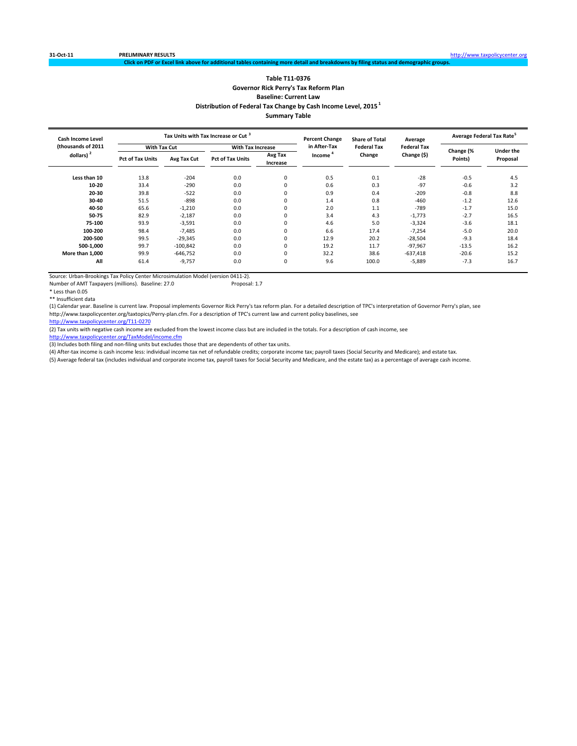### **Table T11‐0376 Governor Rick Perry's Tax Reform Plan Baseline: Current Law Distribution of Federal Tax Change by Cash Income Level, 2015 <sup>1</sup> Summary Table**

nal tables containing more detail and breakdowns by filing status and demographic grou<sub>l</sub>

| Cash Income Level     |                         |             | Tax Units with Tax Increase or Cut <sup>3</sup> |                     | <b>Percent Change</b> | <b>Share of Total</b> | Average            |           | Average Federal Tax Rate <sup>5</sup> |
|-----------------------|-------------------------|-------------|-------------------------------------------------|---------------------|-----------------------|-----------------------|--------------------|-----------|---------------------------------------|
| (thousands of 2011    | <b>With Tax Cut</b>     |             | With Tax Increase                               |                     | in After-Tax          | <b>Federal Tax</b>    | <b>Federal Tax</b> | Change (% | <b>Under the</b>                      |
| dollars) <sup>2</sup> | <b>Pct of Tax Units</b> | Avg Tax Cut | <b>Pct of Tax Units</b>                         | Avg Tax<br>Increase | Income                | Change                | Change (\$)        | Points)   | Proposal                              |
| Less than 10          | 13.8                    | $-204$      | 0.0                                             | $\mathbf 0$         | 0.5                   | 0.1                   | $-28$              | $-0.5$    | 4.5                                   |
| 10-20                 | 33.4                    | $-290$      | 0.0                                             |                     | 0.6                   | 0.3                   | $-97$              | $-0.6$    | 3.2                                   |
| 20-30                 | 39.8                    | $-522$      | 0.0                                             |                     | 0.9                   | 0.4                   | $-209$             | $-0.8$    | 8.8                                   |
| 30-40                 | 51.5                    | $-898$      | 0.0                                             |                     | 1.4                   | 0.8                   | $-460$             | $-1.2$    | 12.6                                  |
| 40-50                 | 65.6                    | $-1,210$    | 0.0                                             |                     | 2.0                   | 1.1                   | $-789$             | $-1.7$    | 15.0                                  |
| 50-75                 | 82.9                    | $-2,187$    | 0.0                                             |                     | 3.4                   | 4.3                   | $-1,773$           | $-2.7$    | 16.5                                  |
| 75-100                | 93.9                    | $-3,591$    | 0.0                                             |                     | 4.6                   | 5.0                   | $-3,324$           | $-3.6$    | 18.1                                  |
| 100-200               | 98.4                    | $-7,485$    | 0.0                                             |                     | 6.6                   | 17.4                  | $-7,254$           | $-5.0$    | 20.0                                  |
| 200-500               | 99.5                    | $-29,345$   | 0.0                                             |                     | 12.9                  | 20.2                  | $-28,504$          | $-9.3$    | 18.4                                  |
| 500-1,000             | 99.7                    | $-100,842$  | 0.0                                             |                     | 19.2                  | 11.7                  | $-97,967$          | $-13.5$   | 16.2                                  |
| More than 1,000       | 99.9                    | $-646,752$  | 0.0                                             |                     | 32.2                  | 38.6                  | $-637,418$         | $-20.6$   | 15.2                                  |
| All                   | 61.4                    | $-9,757$    | 0.0                                             | $\Omega$            | 9.6                   | 100.0                 | $-5,889$           | $-7.3$    | 16.7                                  |

Source: Urban-Brookings Tax Policy Center Microsimulation Model (version 0411-2).<br>Number of AMT Taxpayers (millions). Baseline: 27.0 Proposal: 1.7 Number of AMT Taxpayers (millions). Baseline: 27.0

\* Less than 0.05

\*\* Insufficient data

(1) Calendar year. Baseline is current law. Proposal implements Governor Rick Perry's tax reform plan. For a detailed description of TPC's interpretation of Governor Perry's plan, see http://www.taxpolicycenter.org/taxtopics/Perry‐plan.cfm. For a description of TPC's current law and current policy baselines, see

http://www.taxpolicycenter.org/T11‐0270

(2) Tax units with negative cash income are excluded from the lowest income class but are included in the totals. For a description of cash income, see

http://www.taxpolicycenter.org/TaxModel/income.cfm

(3) Includes both filing and non-filing units but excludes those that are dependents of other tax units.

(4) After-tax income is cash income less: individual income tax net of refundable credits; corporate income tax; payroll taxes (Social Security and Medicare); and estate tax.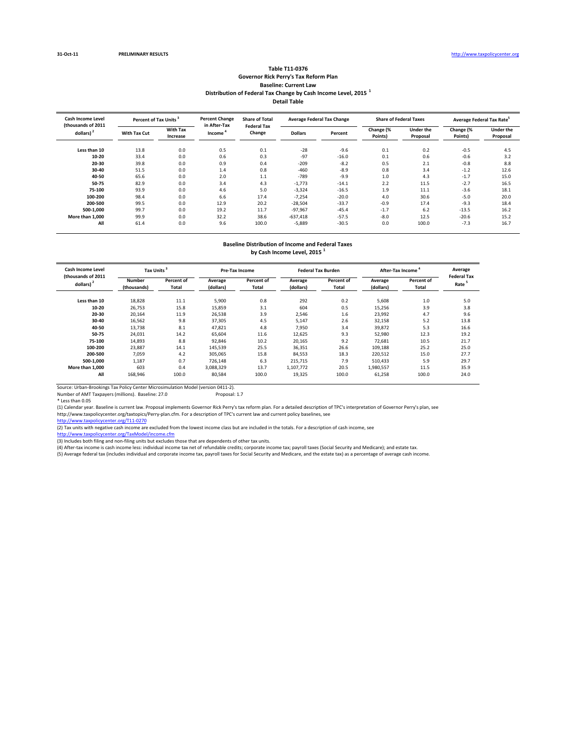#### **Table T11‐0376 Governor Rick Perry's Tax Reform Plan Baseline: Current Law Distribution of Federal Tax Change by Cash Income Level, 2015 <sup>1</sup> Detail Table**

| <b>Cash Income Level</b><br>(thousands of 2011 |              | Percent of Tax Units <sup>3</sup> |                                     | <b>Share of Total</b><br><b>Federal Tax</b> |                | <b>Average Federal Tax Change</b> |                      | <b>Share of Federal Taxes</b> | Average Federal Tax Rate <sup>5</sup> |                              |
|------------------------------------------------|--------------|-----------------------------------|-------------------------------------|---------------------------------------------|----------------|-----------------------------------|----------------------|-------------------------------|---------------------------------------|------------------------------|
| dollars) $2$                                   | With Tax Cut | <b>With Tax</b><br>Increase       | in After-Tax<br>Income <sup>1</sup> | Change                                      | <b>Dollars</b> | Percent                           | Change (%<br>Points) | <b>Under the</b><br>Proposal  | Change (%<br>Points)                  | <b>Under the</b><br>Proposal |
| Less than 10                                   | 13.8         | 0.0                               | 0.5                                 | 0.1                                         | $-28$          | $-9.6$                            | 0.1                  | 0.2                           | $-0.5$                                | 4.5                          |
| $10 - 20$                                      | 33.4         | 0.0                               | 0.6                                 | 0.3                                         | $-97$          | $-16.0$                           | 0.1                  | 0.6                           | $-0.6$                                | 3.2                          |
| 20-30                                          | 39.8         | 0.0                               | 0.9                                 | 0.4                                         | $-209$         | $-8.2$                            | 0.5                  | 2.1                           | $-0.8$                                | 8.8                          |
| 30-40                                          | 51.5         | 0.0                               | 1.4                                 | 0.8                                         | $-460$         | $-8.9$                            | 0.8                  | 3.4                           | $-1.2$                                | 12.6                         |
| 40-50                                          | 65.6         | 0.0                               | 2.0                                 | 1.1                                         | $-789$         | $-9.9$                            | 1.0                  | 4.3                           | $-1.7$                                | 15.0                         |
| 50-75                                          | 82.9         | 0.0                               | 3.4                                 | 4.3                                         | $-1,773$       | $-14.1$                           | 2.2                  | 11.5                          | $-2.7$                                | 16.5                         |
| 75-100                                         | 93.9         | 0.0                               | 4.6                                 | 5.0                                         | $-3,324$       | $-16.5$                           | 1.9                  | 11.1                          | $-3.6$                                | 18.1                         |
| 100-200                                        | 98.4         | 0.0                               | 6.6                                 | 17.4                                        | $-7,254$       | $-20.0$                           | 4.0                  | 30.6                          | $-5.0$                                | 20.0                         |
| 200-500                                        | 99.5         | 0.0                               | 12.9                                | 20.2                                        | $-28,504$      | $-33.7$                           | $-0.9$               | 17.4                          | $-9.3$                                | 18.4                         |
| 500-1.000                                      | 99.7         | 0.0                               | 19.2                                | 11.7                                        | $-97,967$      | $-45.4$                           | $-1.7$               | 6.2                           | $-13.5$                               | 16.2                         |
| More than 1.000                                | 99.9         | 0.0                               | 32.2                                | 38.6                                        | $-637,418$     | $-57.5$                           | $-8.0$               | 12.5                          | $-20.6$                               | 15.2                         |
| All                                            | 61.4         | 0.0                               | 9.6                                 | 100.0                                       | $-5,889$       | $-30.5$                           | 0.0                  | 100.0                         | $-7.3$                                | 16.7                         |

### **Baseline Distribution of Income and Federal Taxes**

**by Cash Income Level, 2015 <sup>1</sup>**

| <b>Cash Income Level</b><br>(thousands of 2011 | Tax Units             |                     |                      | <b>Pre-Tax Income</b> |                      | <b>Federal Tax Burden</b> | After-Tax Income     | Average<br><b>Federal Tax</b> |                   |
|------------------------------------------------|-----------------------|---------------------|----------------------|-----------------------|----------------------|---------------------------|----------------------|-------------------------------|-------------------|
| dollars) <sup>2</sup>                          | Number<br>(thousands) | Percent of<br>Total | Average<br>(dollars) | Percent of<br>Total   | Average<br>(dollars) | Percent of<br>Total       | Average<br>(dollars) | Percent of<br>Total           | Rate <sup>5</sup> |
| Less than 10                                   | 18,828                | 11.1                | 5,900                | 0.8                   | 292                  | 0.2                       | 5,608                | $1.0$                         | 5.0               |
| $10 - 20$                                      | 26,753                | 15.8                | 15,859               | 3.1                   | 604                  | 0.5                       | 15,256               | 3.9                           | 3.8               |
| 20-30                                          | 20.164                | 11.9                | 26,538               | 3.9                   | 2,546                | 1.6                       | 23.992               | 4.7                           | 9.6               |
| 30-40                                          | 16,562                | 9.8                 | 37,305               | 4.5                   | 5,147                | 2.6                       | 32,158               | 5.2                           | 13.8              |
| 40-50                                          | 13,738                | 8.1                 | 47,821               | 4.8                   | 7,950                | 3.4                       | 39,872               | 5.3                           | 16.6              |
| 50-75                                          | 24,031                | 14.2                | 65,604               | 11.6                  | 12,625               | 9.3                       | 52,980               | 12.3                          | 19.2              |
| 75-100                                         | 14,893                | 8.8                 | 92,846               | 10.2                  | 20,165               | 9.2                       | 72,681               | 10.5                          | 21.7              |
| 100-200                                        | 23,887                | 14.1                | 145,539              | 25.5                  | 36,351               | 26.6                      | 109,188              | 25.2                          | 25.0              |
| 200-500                                        | 7,059                 | 4.2                 | 305,065              | 15.8                  | 84,553               | 18.3                      | 220,512              | 15.0                          | 27.7              |
| 500-1.000                                      | 1,187                 | 0.7                 | 726,148              | 6.3                   | 215.715              | 7.9                       | 510.433              | 5.9                           | 29.7              |
| More than 1.000                                | 603                   | 0.4                 | 3,088,329            | 13.7                  | 1,107,772            | 20.5                      | 1,980,557            | 11.5                          | 35.9              |
| All                                            | 168,946               | 100.0               | 80,584               | 100.0                 | 19,325               | 100.0                     | 61,258               | 100.0                         | 24.0              |

Source: Urban‐Brookings Tax Policy Center Microsimulation Model (version 0411‐2). Number of AMT Taxpayers (millions). Baseline: 27.0 Proposal: 1.7

\* Less than 0.05

(1) Calendar year. Baseline is current law. Proposal implements Governor Rick Perry's tax reform plan. For a detailed description of TPC's interpretation of Governor Perry's plan, see

http://www.taxpolicycenter.org/taxtopics/Perry-plan.cfm. For a description of TPC's current law and current policy baselines, see<br><u>http://www.taxpolicycenter.org/T11-0270</u>

(2) Tax units with negative cash income are excluded from the lowest income class but are included in the totals. For a description of cash income, see

<u>http://www.taxpolicycenter.org/TaxModel/income.cfm</u><br>(3) Includes both filing and non-filing units but excludes those that are dependents of other tax units.

(4) After-tax income is cash income less: individual income tax net of refundable credits; corporate income tax; payroll taxes (Social Security and Medicare); and estate tax.<br>(5) Average federal tax (includes individual an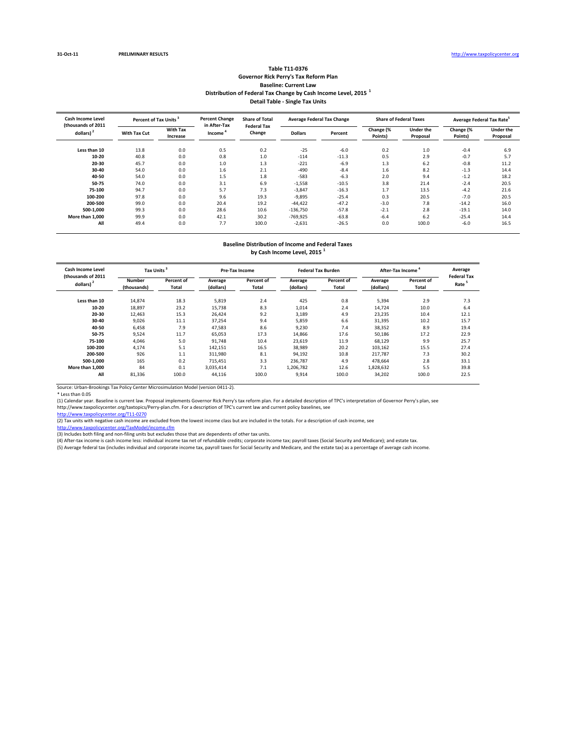#### **Table T11‐0376 Governor Rick Perry's Tax Reform Plan Baseline: Current Law Distribution of Federal Tax Change by Cash Income Level, 2015 <sup>1</sup> Detail Table ‐ Single Tax Units**

| Cash Income Level<br>(thousands of 2011 |              | <b>Percent Change</b><br>Percent of Tax Units <sup>3</sup> |                                     | <b>Share of Total</b><br><b>Federal Tax</b> |                | <b>Average Federal Tax Change</b> | <b>Share of Federal Taxes</b> |                              | Average Federal Tax Rate <sup>5</sup> |                              |
|-----------------------------------------|--------------|------------------------------------------------------------|-------------------------------------|---------------------------------------------|----------------|-----------------------------------|-------------------------------|------------------------------|---------------------------------------|------------------------------|
| dollars) <sup>2</sup>                   | With Tax Cut | <b>With Tax</b><br>Increase                                | in After-Tax<br>Income <sup>'</sup> | Change                                      | <b>Dollars</b> | Percent                           | Change (%<br>Points)          | <b>Under the</b><br>Proposal | Change (%<br>Points)                  | <b>Under the</b><br>Proposal |
|                                         |              |                                                            |                                     |                                             |                |                                   |                               |                              |                                       |                              |
| Less than 10                            | 13.8         | 0.0                                                        | 0.5                                 | 0.2                                         | $-25$          | $-6.0$                            | 0.2                           | 1.0                          | $-0.4$                                | 6.9                          |
| $10 - 20$                               | 40.8         | 0.0                                                        | 0.8                                 | 1.0                                         | $-114$         | $-11.3$                           | 0.5                           | 2.9                          | $-0.7$                                | 5.7                          |
| 20-30                                   | 45.7         | 0.0                                                        | 1.0                                 | 1.3                                         | $-221$         | $-6.9$                            | 1.3                           | 6.2                          | $-0.8$                                | 11.2                         |
| 30-40                                   | 54.0         | 0.0                                                        | 1.6                                 | 2.1                                         | $-490$         | $-8.4$                            | 1.6                           | 8.2                          | $-1.3$                                | 14.4                         |
| 40-50                                   | 54.0         | 0.0                                                        | 1.5                                 | 1.8                                         | $-583$         | $-6.3$                            | 2.0                           | 9.4                          | $-1.2$                                | 18.2                         |
| 50-75                                   | 74.0         | 0.0                                                        | 3.1                                 | 6.9                                         | $-1,558$       | $-10.5$                           | 3.8                           | 21.4                         | $-2.4$                                | 20.5                         |
| 75-100                                  | 94.7         | 0.0                                                        | 5.7                                 | 7.3                                         | $-3,847$       | $-16.3$                           | 1.7                           | 13.5                         | $-4.2$                                | 21.6                         |
| 100-200                                 | 97.8         | 0.0                                                        | 9.6                                 | 19.3                                        | $-9,895$       | $-25.4$                           | 0.3                           | 20.5                         | $-7.0$                                | 20.5                         |
| 200-500                                 | 99.0         | 0.0                                                        | 20.4                                | 19.2                                        | $-44,422$      | $-47.2$                           | $-3.0$                        | 7.8                          | $-14.2$                               | 16.0                         |
| 500-1.000                               | 99.3         | 0.0                                                        | 28.6                                | 10.6                                        | $-136,750$     | $-57.8$                           | $-2.1$                        | 2.8                          | $-19.1$                               | 14.0                         |
| More than 1.000                         | 99.9         | 0.0                                                        | 42.1                                | 30.2                                        | $-769,925$     | $-63.8$                           | $-6.4$                        | 6.2                          | $-25.4$                               | 14.4                         |
| All                                     | 49.4         | 0.0                                                        | 7.7                                 | 100.0                                       | $-2,631$       | $-26.5$                           | 0.0                           | 100.0                        | $-6.0$                                | 16.5                         |

# **Baseline Distribution of Income and Federal Taxes**

**by Cash Income Level, 2015 <sup>1</sup>**

| <b>Cash Income Level</b><br>(thousands of 2011 | <b>Tax Units</b>      |                     |                      | <b>Pre-Tax Income</b> |                      | <b>Federal Tax Burden</b> | After-Tax Income     | Average<br><b>Federal Tax</b> |                   |
|------------------------------------------------|-----------------------|---------------------|----------------------|-----------------------|----------------------|---------------------------|----------------------|-------------------------------|-------------------|
| dollars)                                       | Number<br>(thousands) | Percent of<br>Total | Average<br>(dollars) | Percent of<br>Total   | Average<br>(dollars) | Percent of<br>Total       | Average<br>(dollars) | Percent of<br>Total           | Rate <sup>5</sup> |
| Less than 10                                   | 14,874                | 18.3                | 5,819                | 2.4                   | 425                  | 0.8                       | 5,394                | 2.9                           | 7.3               |
| $10 - 20$                                      | 18,897                | 23.2                | 15,738               | 8.3                   | 1,014                | 2.4                       | 14.724               | 10.0                          | 6.4               |
| 20-30                                          | 12.463                | 15.3                | 26.424               | 9.2                   | 3,189                | 4.9                       | 23,235               | 10.4                          | 12.1              |
| 30-40                                          | 9,026                 | 11.1                | 37,254               | 9.4                   | 5,859                | 6.6                       | 31,395               | 10.2                          | 15.7              |
| 40-50                                          | 6,458                 | 7.9                 | 47,583               | 8.6                   | 9,230                | 7.4                       | 38,352               | 8.9                           | 19.4              |
| 50-75                                          | 9,524                 | 11.7                | 65,053               | 17.3                  | 14,866               | 17.6                      | 50,186               | 17.2                          | 22.9              |
| 75-100                                         | 4,046                 | 5.0                 | 91,748               | 10.4                  | 23,619               | 11.9                      | 68,129               | 9.9                           | 25.7              |
| 100-200                                        | 4,174                 | 5.1                 | 142,151              | 16.5                  | 38,989               | 20.2                      | 103,162              | 15.5                          | 27.4              |
| 200-500                                        | 926                   | 1.1                 | 311,980              | 8.1                   | 94,192               | 10.8                      | 217.787              | 7.3                           | 30.2              |
| 500-1.000                                      | 165                   | 0.2                 | 715.451              | 3.3                   | 236,787              | 4.9                       | 478.664              | 2.8                           | 33.1              |
| More than 1.000                                | 84                    | 0.1                 | 3.035.414            | 7.1                   | 1.206.782            | 12.6                      | 1,828,632            | 5.5                           | 39.8              |
| All                                            | 81,336                | 100.0               | 44,116               | 100.0                 | 9,914                | 100.0                     | 34,202               | 100.0                         | 22.5              |

Source: Urban‐Brookings Tax Policy Center Microsimulation Model (version 0411‐2).

\* Less than 0.05<br>(1) Calendar year. Baseline is current law. Proposal implements Governor Rick Perry's tax reform plan. For a detailed description of TPC's interpretation of Governor Perry's plan, see<br>http://www.taxpolicyc

er.org/TaxModel/income.cf

(3) Includes both filing and non-filing units but excludes those that are dependents of other tax units.<br>(4) After-tax income is cash income less: individual income tax net of refundable credits; corporate income tax; payr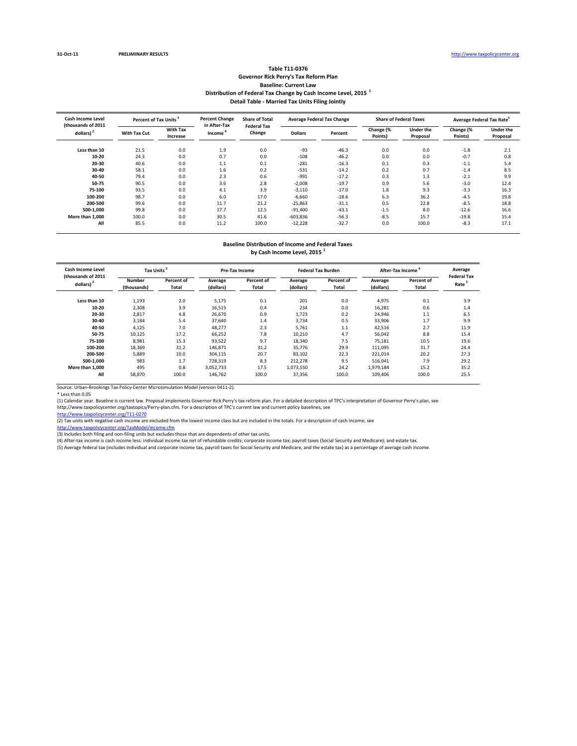#### **Table T11‐0376 Governor Rick Perry's Tax Reform Plan Baseline: Current Law Distribution of Federal Tax Change by Cash Income Level, 2015 <sup>1</sup> Detail Table ‐ Married Tax Units Filing Jointly**

| Cash Income Level<br>(thousands of 2011) |                     | <b>Percent Change</b><br>Percent of Tax Units <sup>3</sup> |                        | <b>Share of Total</b><br><b>Federal Tax</b> |                | <b>Average Federal Tax Change</b> |                      | <b>Share of Federal Taxes</b> | Average Federal Tax Rate <sup>5</sup> |                              |
|------------------------------------------|---------------------|------------------------------------------------------------|------------------------|---------------------------------------------|----------------|-----------------------------------|----------------------|-------------------------------|---------------------------------------|------------------------------|
| dollars) <sup>2</sup>                    | <b>With Tax Cut</b> | <b>With Tax</b><br>Increase                                | in After-Tax<br>Income | Change                                      | <b>Dollars</b> | Percent                           | Change (%<br>Points) | <b>Under the</b><br>Proposal  | Change (%<br>Points)                  | <b>Under the</b><br>Proposal |
| Less than 10                             | 21.5                | 0.0                                                        | 1.9                    | 0.0                                         | $-93$          | $-46.3$                           | 0.0                  | 0.0                           | $-1.8$                                | 2.1                          |
| 10-20                                    | 24.3                | 0.0                                                        | 0.7                    | 0.0                                         | $-108$         | $-46.2$                           | 0.0                  | 0.0                           | $-0.7$                                | 0.8                          |
| 20-30                                    | 40.6                | 0.0                                                        | 1.1                    | 0.1                                         | $-281$         | $-16.3$                           | 0.1                  | 0.3                           | $-1.1$                                | 5.4                          |
| 30-40                                    | 58.1                | 0.0                                                        | 1.6                    | 0.2                                         | $-531$         | $-14.2$                           | 0.2                  | 0.7                           | $-1.4$                                | 8.5                          |
| 40-50                                    | 79.4                | 0.0                                                        | 2.3                    | 0.6                                         | $-991$         | $-17.2$                           | 0.3                  | 1.3                           | $-2.1$                                | 9.9                          |
| 50-75                                    | 90.5                | 0.0                                                        | 3.6                    | 2.8                                         | $-2,008$       | $-19.7$                           | 0.9                  | 5.6                           | $-3.0$                                | 12.4                         |
| 75-100                                   | 93.5                | 0.0                                                        | 4.1                    | 3.9                                         | $-3,110$       | $-17.0$                           | 1.8                  | 9.3                           | $-3.3$                                | 16.3                         |
| 100-200                                  | 98.7                | 0.0                                                        | 6.0                    | 17.0                                        | $-6.660$       | $-18.6$                           | 6.3                  | 36.2                          | $-4.5$                                | 19.8                         |
| 200-500                                  | 99.6                | 0.0                                                        | 11.7                   | 21.2                                        | $-25,863$      | $-31.1$                           | 0.5                  | 22.8                          | $-8.5$                                | 18.8                         |
| 500-1.000                                | 99.8                | 0.0                                                        | 17.7                   | 12.5                                        | $-91,400$      | $-43.1$                           | $-1.5$               | 8.0                           | $-12.6$                               | 16.6                         |
| More than 1.000                          | 100.0               | 0.0                                                        | 30.5                   | 41.6                                        | $-603,836$     | $-56.3$                           | $-8.5$               | 15.7                          | $-19.8$                               | 15.4                         |
| All                                      | 85.5                | 0.0                                                        | 11.2                   | 100.0                                       | $-12,228$      | $-32.7$                           | 0.0                  | 100.0                         | $-8.3$                                | 17.1                         |

# **Baseline Distribution of Income and Federal Taxes**

**by Cash Income Level, 2015 <sup>1</sup>**

| <b>Cash Income Level</b><br>(thousands of 2011 | <b>Tax Units</b>      |                     |                      | <b>Pre-Tax Income</b> |                      | <b>Federal Tax Burden</b> | After-Tax Income     | Average<br><b>Federal Tax</b> |                   |
|------------------------------------------------|-----------------------|---------------------|----------------------|-----------------------|----------------------|---------------------------|----------------------|-------------------------------|-------------------|
| dollars) <sup>2</sup>                          | Number<br>(thousands) | Percent of<br>Total | Average<br>(dollars) | Percent of<br>Total   | Average<br>(dollars) | Percent of<br>Total       | Average<br>(dollars) | Percent of<br>Total           | Rate <sup>5</sup> |
| Less than 10                                   | 1,193                 | 2.0                 | 5,175                | 0.1                   | 201                  | 0.0                       | 4,975                | 0.1                           | 3.9               |
| $10 - 20$                                      | 2,308                 | 3.9                 | 16,515               | 0.4                   | 234                  | 0.0                       | 16.281               | 0.6                           | 1.4               |
| 20-30                                          | 2,817                 | 4.8                 | 26.670               | 0.9                   | 1,723                | 0.2                       | 24.946               | 1.1                           | 6.5               |
| 30-40                                          | 3,184                 | 5.4                 | 37.640               | 1.4                   | 3,734                | 0.5                       | 33,906               | 1.7                           | 9.9               |
| 40-50                                          | 4,125                 | 7.0                 | 48,277               | 2.3                   | 5,761                | 1.1                       | 42,516               | 2.7                           | 11.9              |
| 50-75                                          | 10,125                | 17.2                | 66,252               | 7.8                   | 10,210               | 4.7                       | 56,042               | 8.8                           | 15.4              |
| 75-100                                         | 8,981                 | 15.3                | 93,522               | 9.7                   | 18,340               | 7.5                       | 75,181               | 10.5                          | 19.6              |
| 100-200                                        | 18,369                | 31.2                | 146,871              | 31.2                  | 35,776               | 29.9                      | 111,095              | 31.7                          | 24.4              |
| 200-500                                        | 5,889                 | 10.0                | 304.115              | 20.7                  | 83,102               | 22.3                      | 221,014              | 20.2                          | 27.3              |
| 500-1.000                                      | 983                   | 1.7                 | 728.319              | 8.3                   | 212,278              | 9.5                       | 516.041              | 7.9                           | 29.2              |
| More than 1.000                                | 495                   | 0.8                 | 3.052.733            | 17.5                  | 1,073,550            | 24.2                      | 1,979,184            | 15.2                          | 35.2              |
| All                                            | 58,870                | 100.0               | 146,762              | 100.0                 | 37,356               | 100.0                     | 109,406              | 100.0                         | 25.5              |

Source: Urban‐Brookings Tax Policy Center Microsimulation Model (version 0411‐2).

\* Less than 0.05<br>(1) Calendar year. Baseline is current law. Proposal implements Governor Rick Perry's tax reform plan. For a detailed description of TPC's interpretation of Governor Perry's plan, see<br>http://www.taxpolicyc

er.org/TaxModel/income.cf

(3) Includes both filing and non-filing units but excludes those that are dependents of other tax units.<br>(4) After-tax income is cash income less: individual income tax net of refundable credits; corporate income tax; payr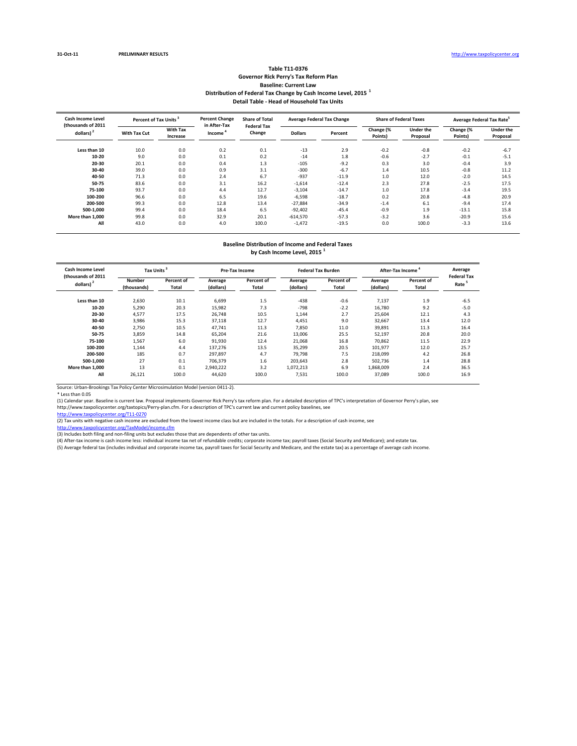#### **Table T11‐0376 Governor Rick Perry's Tax Reform Plan Baseline: Current Law Distribution of Federal Tax Change by Cash Income Level, 2015 <sup>1</sup> Detail Table ‐ Head of Household Tax Units**

| <b>Cash Income Level</b><br>(thousands of 2011 | Percent of Tax Units <sup>3</sup> |                             | <b>Percent Change</b><br>in After-Tax | <b>Share of Total</b><br><b>Federal Tax</b> | <b>Average Federal Tax Change</b> |         |                      | <b>Share of Federal Taxes</b> | Average Federal Tax Rate <sup>5</sup> |                              |
|------------------------------------------------|-----------------------------------|-----------------------------|---------------------------------------|---------------------------------------------|-----------------------------------|---------|----------------------|-------------------------------|---------------------------------------|------------------------------|
| dollars) $2$                                   | With Tax Cut                      | <b>With Tax</b><br>Increase | Income <sup>'</sup>                   | Change                                      | <b>Dollars</b>                    | Percent | Change (%<br>Points) | <b>Under the</b><br>Proposal  | Change (%<br>Points)                  | <b>Under the</b><br>Proposal |
| Less than 10                                   | 10.0                              | 0.0                         | 0.2                                   | 0.1                                         | $-13$                             | 2.9     | $-0.2$               | $-0.8$                        | $-0.2$                                | $-6.7$                       |
| $10 - 20$                                      | 9.0                               | 0.0                         | 0.1                                   | 0.2                                         | $-14$                             | 1.8     | $-0.6$               | $-2.7$                        | $-0.1$                                | $-5.1$                       |
| 20-30                                          | 20.1                              | 0.0                         | 0.4                                   | 1.3                                         | $-105$                            | $-9.2$  | 0.3                  | 3.0                           | $-0.4$                                | 3.9                          |
| 30-40                                          | 39.0                              | 0.0                         | 0.9                                   | 3.1                                         | $-300$                            | $-6.7$  | 1.4                  | 10.5                          | $-0.8$                                | 11.2                         |
| 40-50                                          | 71.3                              | 0.0                         | 2.4                                   | 6.7                                         | $-937$                            | $-11.9$ | 1.0                  | 12.0                          | $-2.0$                                | 14.5                         |
| 50-75                                          | 83.6                              | 0.0                         | 3.1                                   | 16.2                                        | $-1,614$                          | $-12.4$ | 2.3                  | 27.8                          | $-2.5$                                | 17.5                         |
| 75-100                                         | 93.7                              | 0.0                         | 4.4                                   | 12.7                                        | $-3,104$                          | $-14.7$ | 1.0                  | 17.8                          | $-3.4$                                | 19.5                         |
| 100-200                                        | 96.6                              | 0.0                         | 6.5                                   | 19.6                                        | $-6,598$                          | $-18.7$ | 0.2                  | 20.8                          | $-4.8$                                | 20.9                         |
| 200-500                                        | 99.3                              | 0.0                         | 12.8                                  | 13.4                                        | $-27,884$                         | $-34.9$ | $-1.4$               | 6.1                           | $-9.4$                                | 17.4                         |
| 500-1.000                                      | 99.4                              | 0.0                         | 18.4                                  | 6.5                                         | $-92,402$                         | $-45.4$ | $-0.9$               | 1.9                           | $-13.1$                               | 15.8                         |
| More than 1.000                                | 99.8                              | 0.0                         | 32.9                                  | 20.1                                        | $-614,570$                        | $-57.3$ | $-3.2$               | 3.6                           | $-20.9$                               | 15.6                         |
| All                                            | 43.0                              | 0.0                         | 4.0                                   | 100.0                                       | $-1,472$                          | $-19.5$ | 0.0                  | 100.0                         | $-3.3$                                | 13.6                         |

# **Baseline Distribution of Income and Federal Taxes**

**by Cash Income Level, 2015 <sup>1</sup>**

| <b>Cash Income Level</b><br>(thousands of 2011 | <b>Tax Units</b>      |                     |                      | <b>Pre-Tax Income</b> |                      | <b>Federal Tax Burden</b> | After-Tax Income     | Average<br><b>Federal Tax</b> |                   |
|------------------------------------------------|-----------------------|---------------------|----------------------|-----------------------|----------------------|---------------------------|----------------------|-------------------------------|-------------------|
| dollars)                                       | Number<br>(thousands) | Percent of<br>Total | Average<br>(dollars) | Percent of<br>Total   | Average<br>(dollars) | Percent of<br>Total       | Average<br>(dollars) | Percent of<br>Total           | Rate <sup>5</sup> |
| Less than 10                                   | 2,630                 | 10.1                | 6,699                | 1.5                   | $-438$               | $-0.6$                    | 7,137                | 1.9                           | $-6.5$            |
| 10-20                                          | 5,290                 | 20.3                | 15,982               | 7.3                   | $-798$               | $-2.2$                    | 16.780               | 9.2                           | $-5.0$            |
| 20-30                                          | 4,577                 | 17.5                | 26.748               | 10.5                  | 1,144                | 2.7                       | 25.604               | 12.1                          | 4.3               |
| 30-40                                          | 3,986                 | 15.3                | 37,118               | 12.7                  | 4,451                | 9.0                       | 32,667               | 13.4                          | 12.0              |
| 40-50                                          | 2,750                 | 10.5                | 47.741               | 11.3                  | 7,850                | 11.0                      | 39,891               | 11.3                          | 16.4              |
| 50-75                                          | 3,859                 | 14.8                | 65,204               | 21.6                  | 13,006               | 25.5                      | 52,197               | 20.8                          | 20.0              |
| 75-100                                         | 1,567                 | 6.0                 | 91,930               | 12.4                  | 21,068               | 16.8                      | 70,862               | 11.5                          | 22.9              |
| 100-200                                        | 1,144                 | 4.4                 | 137,276              | 13.5                  | 35,299               | 20.5                      | 101,977              | 12.0                          | 25.7              |
| 200-500                                        | 185                   | 0.7                 | 297.897              | 4.7                   | 79.798               | 7.5                       | 218,099              | 4.2                           | 26.8              |
| 500-1.000                                      | 27                    | 0.1                 | 706,379              | 1.6                   | 203,643              | 2.8                       | 502,736              | 1.4                           | 28.8              |
| More than 1.000                                | 13                    | 0.1                 | 2.940.222            | 3.2                   | 1.072.213            | 6.9                       | 1,868,009            | 2.4                           | 36.5              |
| All                                            | 26,121                | 100.0               | 44,620               | 100.0                 | 7,531                | 100.0                     | 37,089               | 100.0                         | 16.9              |

Source: Urban‐Brookings Tax Policy Center Microsimulation Model (version 0411‐2).

\* Less than 0.05<br>(1) Calendar year. Baseline is current law. Proposal implements Governor Rick Perry's tax reform plan. For a detailed description of TPC's interpretation of Governor Perry's plan, see<br>http://www.taxpolicyc

er.org/TaxModel/income.cfr

(3) Includes both filing and non-filing units but excludes those that are dependents of other tax units.

(4) After‐tax income is cash income less: individual income tax net of refundable credits; corporate income tax; payroll taxes (Social Security and Medicare); and estate tax.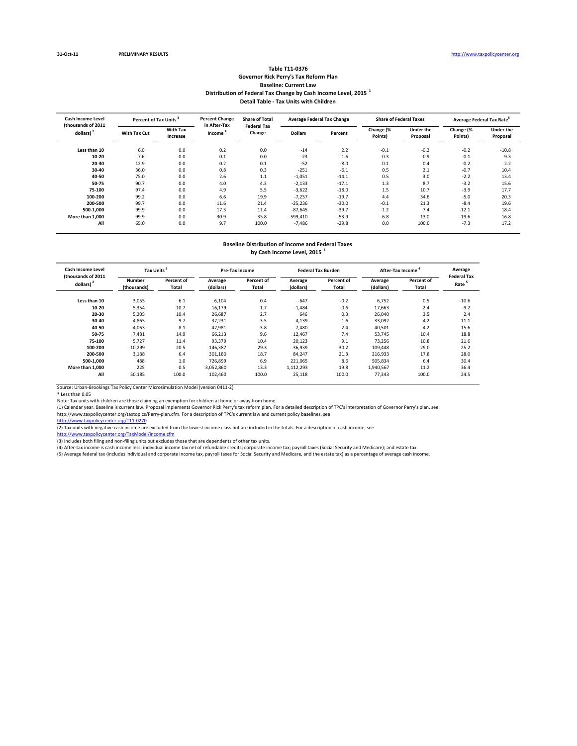#### **Table T11‐0376 Governor Rick Perry's Tax Reform Plan Baseline: Current Law Distribution of Federal Tax Change by Cash Income Level, 2015 <sup>1</sup> Detail Table ‐ Tax Units with Children**

| <b>Cash Income Level</b><br>(thousands of 2011 |              | Percent of Tax Units <sup>3</sup> |                                     | <b>Percent Change</b><br><b>Share of Total</b><br><b>Federal Tax</b> | <b>Average Federal Tax Change</b> |         |                      | <b>Share of Federal Taxes</b> | Average Federal Tax Rate <sup>5</sup> |                              |
|------------------------------------------------|--------------|-----------------------------------|-------------------------------------|----------------------------------------------------------------------|-----------------------------------|---------|----------------------|-------------------------------|---------------------------------------|------------------------------|
| dollars) <sup>2</sup>                          | With Tax Cut | <b>With Tax</b><br>Increase       | in After-Tax<br>Income <sup>'</sup> | Change                                                               | <b>Dollars</b>                    | Percent | Change (%<br>Points) | <b>Under the</b><br>Proposal  | Change (%<br>Points)                  | <b>Under the</b><br>Proposal |
| Less than 10                                   | 6.0          | 0.0                               | 0.2                                 | 0.0                                                                  | $-14$                             | 2.2     | $-0.1$               | $-0.2$                        | $-0.2$                                | $-10.8$                      |
| $10 - 20$                                      | 7.6          | 0.0                               | 0.1                                 | 0.0                                                                  | $-23$                             | 1.6     | $-0.3$               | $-0.9$                        | $-0.1$                                | $-9.3$                       |
| 20-30                                          | 12.9         | 0.0                               | 0.2                                 | 0.1                                                                  | $-52$                             | $-8.0$  | 0.1                  | 0.4                           | $-0.2$                                | 2.2                          |
| 30-40                                          | 36.0         | 0.0                               | 0.8                                 | 0.3                                                                  | $-251$                            | $-6.1$  | 0.5                  | 2.1                           | $-0.7$                                | 10.4                         |
| 40-50                                          | 75.0         | 0.0                               | 2.6                                 | 1.1                                                                  | $-1,051$                          | $-14.1$ | 0.5                  | 3.0                           | $-2.2$                                | 13.4                         |
| 50-75                                          | 90.7         | 0.0                               | 4.0                                 | 4.3                                                                  | $-2,133$                          | $-17.1$ | 1.3                  | 8.7                           | $-3.2$                                | 15.6                         |
| 75-100                                         | 97.4         | 0.0                               | 4.9                                 | 5.5                                                                  | $-3,622$                          | $-18.0$ | 1.5                  | 10.7                          | $-3.9$                                | 17.7                         |
| 100-200                                        | 99.2         | 0.0                               | 6.6                                 | 19.9                                                                 | $-7,257$                          | $-19.7$ | 4.4                  | 34.6                          | $-5.0$                                | 20.3                         |
| 200-500                                        | 99.7         | 0.0                               | 11.6                                | 21.4                                                                 | $-25,236$                         | $-30.0$ | $-0.1$               | 21.3                          | $-8.4$                                | 19.6                         |
| 500-1.000                                      | 99.9         | 0.0                               | 17.3                                | 11.4                                                                 | $-87,645$                         | $-39.7$ | $-1.2$               | 7.4                           | $-12.1$                               | 18.4                         |
| More than 1.000                                | 99.9         | 0.0                               | 30.9                                | 35.8                                                                 | $-599,410$                        | $-53.9$ | $-6.8$               | 13.0                          | $-19.6$                               | 16.8                         |
| All                                            | 65.0         | 0.0                               | 9.7                                 | 100.0                                                                | $-7.486$                          | $-29.8$ | 0.0                  | 100.0                         | $-7.3$                                | 17.2                         |

## **Baseline Distribution of Income and Federal Taxes**

**by Cash Income Level, 2015 <sup>1</sup>**

| <b>Cash Income Level</b><br>(thousands of 2011 | <b>Tax Units</b>      |                     |                      | <b>Pre-Tax Income</b> |                      | <b>Federal Tax Burden</b> | <b>After-Tax Income</b> | Average<br><b>Federal Tax</b> |         |
|------------------------------------------------|-----------------------|---------------------|----------------------|-----------------------|----------------------|---------------------------|-------------------------|-------------------------------|---------|
| dollars) <sup>2</sup>                          | Number<br>(thousands) | Percent of<br>Total | Average<br>(dollars) | Percent of<br>Total   | Average<br>(dollars) | Percent of<br>Total       | Average<br>(dollars)    | Percent of<br>Total           | Rate    |
| Less than 10                                   | 3,055                 | 6.1                 | 6,104                | 0.4                   | $-647$               | $-0.2$                    | 6.752                   | 0.5                           | $-10.6$ |
| $10 - 20$                                      | 5,354                 | 10.7                | 16.179               | 1.7                   | $-1,484$             | $-0.6$                    | 17.663                  | 2.4                           | $-9.2$  |
| 20-30                                          | 5,205                 | 10.4                | 26,687               | 2.7                   | 646                  | 0.3                       | 26.040                  | 3.5                           | 2.4     |
| 30-40                                          | 4.865                 | 9.7                 | 37.231               | 3.5                   | 4,139                | 1.6                       | 33,092                  | 4.2                           | 11.1    |
| 40-50                                          | 4,063                 | 8.1                 | 47.981               | 3.8                   | 7.480                | 2.4                       | 40,501                  | 4.2                           | 15.6    |
| 50-75                                          | 7,481                 | 14.9                | 66,213               | 9.6                   | 12,467               | 7.4                       | 53,745                  | 10.4                          | 18.8    |
| 75-100                                         | 5.727                 | 11.4                | 93,379               | 10.4                  | 20,123               | 9.1                       | 73.256                  | 10.8                          | 21.6    |
| 100-200                                        | 10,299                | 20.5                | 146,387              | 29.3                  | 36,939               | 30.2                      | 109,448                 | 29.0                          | 25.2    |
| 200-500                                        | 3,188                 | 6.4                 | 301,180              | 18.7                  | 84,247               | 21.3                      | 216,933                 | 17.8                          | 28.0    |
| 500-1.000                                      | 488                   | 1.0                 | 726.899              | 6.9                   | 221,065              | 8.6                       | 505,834                 | 6.4                           | 30.4    |
| More than 1.000                                | 225                   | 0.5                 | 3.052.860            | 13.3                  | 1.112.293            | 19.8                      | 1,940,567               | 11.2                          | 36.4    |
| All                                            | 50,185                | 100.0               | 102,460              | 100.0                 | 25,118               | 100.0                     | 77,343                  | 100.0                         | 24.5    |

Source: Urban‐Brookings Tax Policy Center Microsimulation Model (version 0411‐2).

\* Less than 0.05 Note: Tax units with children are those claiming an exemption for children at home or away from home.

(1) Calendar year. Baseline is current law. Proposal implements Governor Rick Perry's tax reform plan. For a detailed description of TPC's interpretation of Governor Perry's plan, see

http://www.taxpolicycenter.org/taxtopics/Perry-plan.cfm. For a description of TPC's current law and current policy baselines, see<br><u>http://www.taxpolicycenter.org/T11-0270</u>

(2) Tax units with negative cash income are excluded from the lowest income class but are included in the totals. For a description of cash income, see

<u>http://www.taxpolicycenter.org/TaxModel/income.cfm</u><br>(3) Includes both filing and non-filing units but excludes those that are dependents of other tax units.<br>(4) After-tax income is cash income less: individual income tax